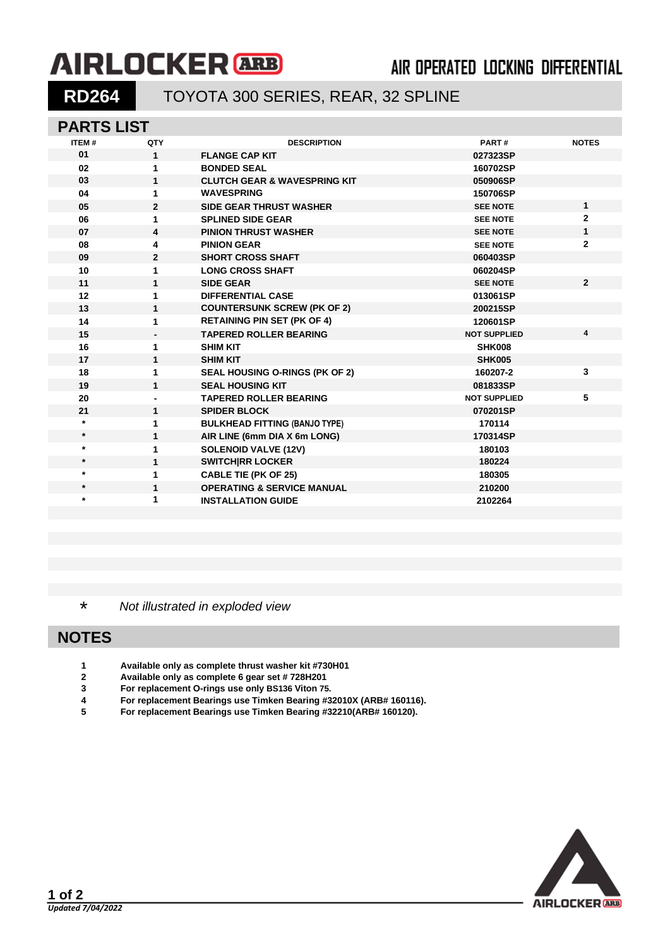# **AIRLOCKER** ARB

## **AIR OPERATED LOCKING DIFFERENTIAL**

## **RD264** TOYOTA 300 SERIES, REAR, 32 SPLINE

#### **PARTS LIST**

| <b>ITEM#</b> | QTY            | <b>DESCRIPTION</b>                      | PART#               | <b>NOTES</b>   |
|--------------|----------------|-----------------------------------------|---------------------|----------------|
| 01           | $\mathbf{1}$   | <b>FLANGE CAP KIT</b>                   | 027323SP            |                |
| 02           | 1              | <b>BONDED SEAL</b>                      | 160702SP            |                |
| 03           | 1              | <b>CLUTCH GEAR &amp; WAVESPRING KIT</b> | 050906SP            |                |
| 04           | 1              | <b>WAVESPRING</b>                       | 150706SP            |                |
| 05           | $\mathbf{2}$   | <b>SIDE GEAR THRUST WASHER</b>          | <b>SEE NOTE</b>     | 1              |
| 06           | 1              | <b>SPLINED SIDE GEAR</b>                | <b>SEE NOTE</b>     | $\mathbf{2}$   |
| 07           | 4              | <b>PINION THRUST WASHER</b>             | <b>SEE NOTE</b>     | 1              |
| 08           | 4              | <b>PINION GEAR</b>                      | <b>SEE NOTE</b>     | $\mathbf{2}$   |
| 09           | $\overline{2}$ | <b>SHORT CROSS SHAFT</b>                | 060403SP            |                |
| 10           | 1              | <b>LONG CROSS SHAFT</b>                 | 060204SP            |                |
| 11           | $\mathbf{1}$   | <b>SIDE GEAR</b>                        | <b>SEE NOTE</b>     | $\overline{2}$ |
| 12           | 1              | <b>DIFFERENTIAL CASE</b>                | 013061SP            |                |
| 13           | $\mathbf{1}$   | <b>COUNTERSUNK SCREW (PK OF 2)</b>      | 200215SP            |                |
| 14           | 1              | <b>RETAINING PIN SET (PK OF 4)</b>      | 120601SP            |                |
| 15           |                | <b>TAPERED ROLLER BEARING</b>           | <b>NOT SUPPLIED</b> | 4              |
| 16           | 1              | <b>SHIM KIT</b>                         | <b>SHK008</b>       |                |
| 17           | 1              | <b>SHIM KIT</b>                         | <b>SHK005</b>       |                |
| 18           | 1              | <b>SEAL HOUSING O-RINGS (PK OF 2)</b>   | 160207-2            | 3              |
| 19           | 1              | <b>SEAL HOUSING KIT</b>                 | 081833SP            |                |
| 20           |                | <b>TAPERED ROLLER BEARING</b>           | <b>NOT SUPPLIED</b> | 5              |
| 21           | 1              | <b>SPIDER BLOCK</b>                     | 070201SP            |                |
| $\star$      | 1              | <b>BULKHEAD FITTING (BANJO TYPE)</b>    | 170114              |                |
| $\star$      | 1              | AIR LINE (6mm DIA X 6m LONG)            | 170314SP            |                |
| $\star$      | 1              | <b>SOLENOID VALVE (12V)</b>             | 180103              |                |
| $\star$      | $\mathbf{1}$   | <b>SWITCHIRR LOCKER</b>                 | 180224              |                |
| $\star$      | 1              | <b>CABLE TIE (PK OF 25)</b>             | 180305              |                |
| $\star$      | 1              | <b>OPERATING &amp; SERVICE MANUAL</b>   | 210200              |                |
| $\star$      | 1              | <b>INSTALLATION GUIDE</b>               | 2102264             |                |
|              |                |                                         |                     |                |

\* *Not illustrated in exploded view*

## **NOTES**

- **Available only as complete thrust washer kit #730H01**
- **Available only as complete 6 gear set # 728H201**
- **For replacement O-rings use only BS136 Viton 75.**
- **For replacement Bearings use Timken Bearing #32010X (ARB# 160116).**
- **For replacement Bearings use Timken Bearing #32210(ARB# 160120).**